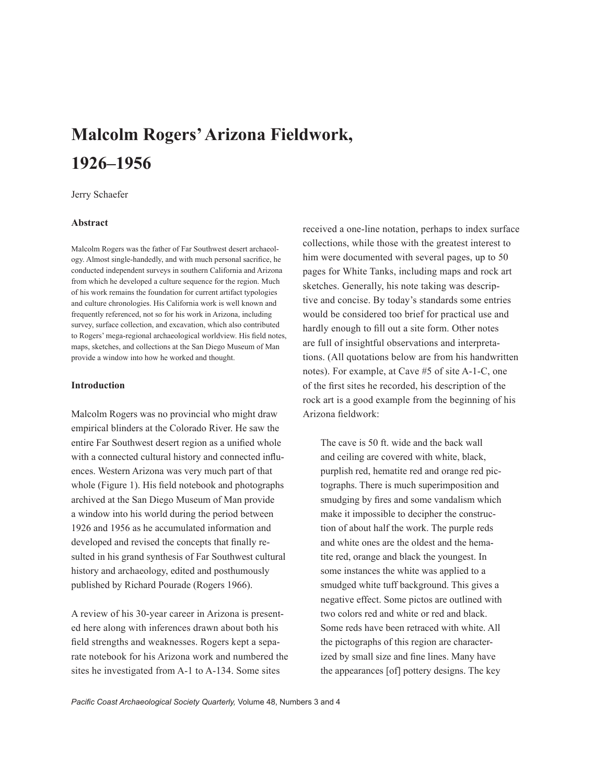# **Malcolm Rogers' Arizona Fieldwork, 1926–1956**

## Jerry Schaefer

# **Abstract**

Malcolm Rogers was the father of Far Southwest desert archaeology. Almost single-handedly, and with much personal sacrifice, he conducted independent surveys in southern California and Arizona from which he developed a culture sequence for the region. Much of his work remains the foundation for current artifact typologies and culture chronologies. His California work is well known and frequently referenced, not so for his work in Arizona, including survey, surface collection, and excavation, which also contributed to Rogers' mega-regional archaeological worldview. His field notes, maps, sketches, and collections at the San Diego Museum of Man provide a window into how he worked and thought.

### **Introduction**

Malcolm Rogers was no provincial who might draw empirical blinders at the Colorado River. He saw the entire Far Southwest desert region as a unified whole with a connected cultural history and connected influences. Western Arizona was very much part of that whole (Figure 1). His field notebook and photographs archived at the San Diego Museum of Man provide a window into his world during the period between 1926 and 1956 as he accumulated information and developed and revised the concepts that finally resulted in his grand synthesis of Far Southwest cultural history and archaeology, edited and posthumously published by Richard Pourade (Rogers 1966).

A review of his 30-year career in Arizona is presented here along with inferences drawn about both his field strengths and weaknesses. Rogers kept a separate notebook for his Arizona work and numbered the sites he investigated from A-1 to A-134. Some sites

received a one-line notation, perhaps to index surface collections, while those with the greatest interest to him were documented with several pages, up to 50 pages for White Tanks, including maps and rock art sketches. Generally, his note taking was descriptive and concise. By today's standards some entries would be considered too brief for practical use and hardly enough to fill out a site form. Other notes are full of insightful observations and interpretations. (All quotations below are from his handwritten notes). For example, at Cave #5 of site A-1-C, one of the first sites he recorded, his description of the rock art is a good example from the beginning of his Arizona fieldwork:

The cave is 50 ft. wide and the back wall and ceiling are covered with white, black, purplish red, hematite red and orange red pictographs. There is much superimposition and smudging by fires and some vandalism which make it impossible to decipher the construction of about half the work. The purple reds and white ones are the oldest and the hematite red, orange and black the youngest. In some instances the white was applied to a smudged white tuff background. This gives a negative effect. Some pictos are outlined with two colors red and white or red and black. Some reds have been retraced with white. All the pictographs of this region are characterized by small size and fine lines. Many have the appearances [of] pottery designs. The key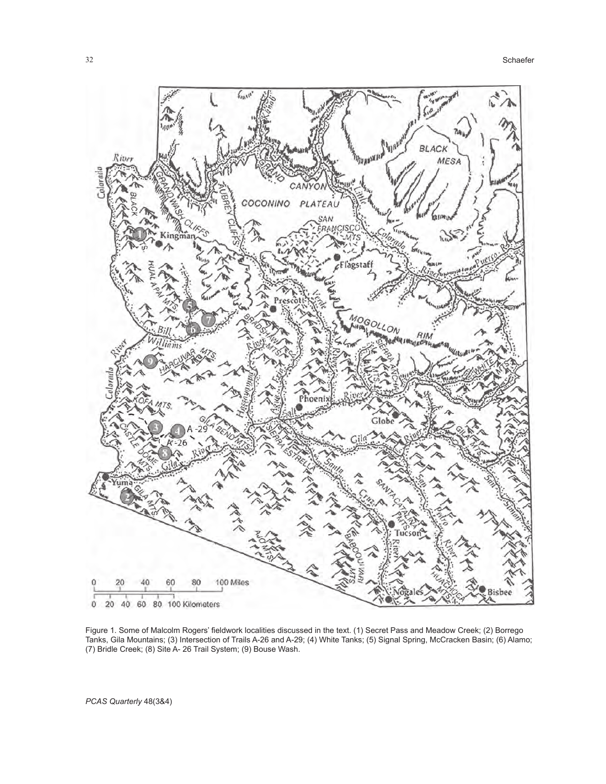

Figure 1. Some of Malcolm Rogers' fieldwork localities discussed in the text. (1) Secret Pass and Meadow Creek; (2) Borrego Tanks, Gila Mountains; (3) Intersection of Trails A-26 and A-29; (4) White Tanks; (5) Signal Spring, McCracken Basin; (6) Alamo; (7) Bridle Creek; (8) Site A- 26 Trail System; (9) Bouse Wash.

*PCAS Quarterly* 48(3&4)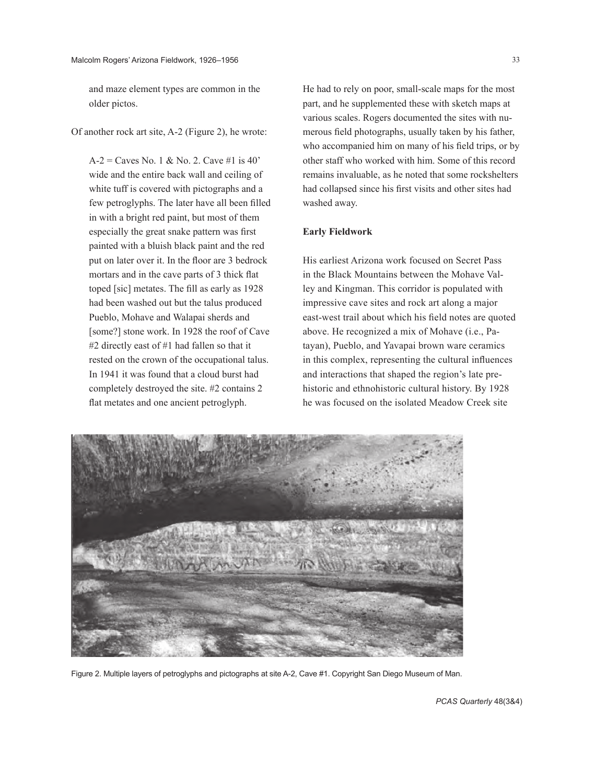and maze element types are common in the older pictos.

Of another rock art site, A-2 (Figure 2), he wrote:

 $A-2 =$  Caves No. 1 & No. 2. Cave #1 is 40' wide and the entire back wall and ceiling of white tuff is covered with pictographs and a few petroglyphs. The later have all been filled in with a bright red paint, but most of them especially the great snake pattern was first painted with a bluish black paint and the red put on later over it. In the floor are 3 bedrock mortars and in the cave parts of 3 thick flat toped [sic] metates. The fill as early as 1928 had been washed out but the talus produced Pueblo, Mohave and Walapai sherds and [some?] stone work. In 1928 the roof of Cave #2 directly east of #1 had fallen so that it rested on the crown of the occupational talus. In 1941 it was found that a cloud burst had completely destroyed the site. #2 contains 2 flat metates and one ancient petroglyph.

He had to rely on poor, small-scale maps for the most part, and he supplemented these with sketch maps at various scales. Rogers documented the sites with numerous field photographs, usually taken by his father, who accompanied him on many of his field trips, or by other staff who worked with him. Some of this record remains invaluable, as he noted that some rockshelters had collapsed since his first visits and other sites had washed away.

#### **Early Fieldwork**

His earliest Arizona work focused on Secret Pass in the Black Mountains between the Mohave Valley and Kingman. This corridor is populated with impressive cave sites and rock art along a major east-west trail about which his field notes are quoted above. He recognized a mix of Mohave (i.e., Patayan), Pueblo, and Yavapai brown ware ceramics in this complex, representing the cultural influences and interactions that shaped the region's late prehistoric and ethnohistoric cultural history. By 1928 he was focused on the isolated Meadow Creek site



Figure 2. Multiple layers of petroglyphs and pictographs at site A-2, Cave #1. Copyright San Diego Museum of Man.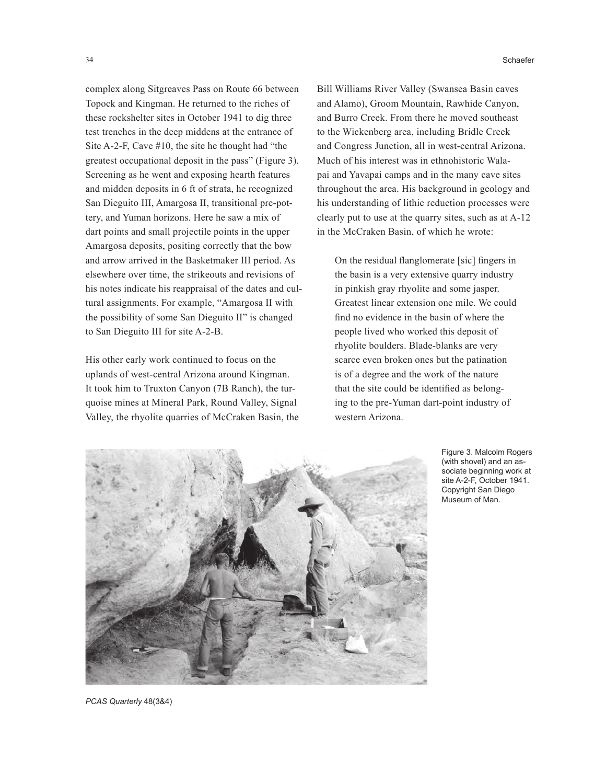complex along Sitgreaves Pass on Route 66 between Topock and Kingman. He returned to the riches of these rockshelter sites in October 1941 to dig three test trenches in the deep middens at the entrance of Site A-2-F, Cave #10, the site he thought had "the greatest occupational deposit in the pass" (Figure 3). Screening as he went and exposing hearth features and midden deposits in 6 ft of strata, he recognized San Dieguito III, Amargosa II, transitional pre-pottery, and Yuman horizons. Here he saw a mix of dart points and small projectile points in the upper Amargosa deposits, positing correctly that the bow and arrow arrived in the Basketmaker III period. As elsewhere over time, the strikeouts and revisions of his notes indicate his reappraisal of the dates and cultural assignments. For example, "Amargosa II with the possibility of some San Dieguito II" is changed to San Dieguito III for site A-2-B.

His other early work continued to focus on the uplands of west-central Arizona around Kingman. It took him to Truxton Canyon (7B Ranch), the turquoise mines at Mineral Park, Round Valley, Signal Valley, the rhyolite quarries of McCraken Basin, the

34 Schaefer

Bill Williams River Valley (Swansea Basin caves and Alamo), Groom Mountain, Rawhide Canyon, and Burro Creek. From there he moved southeast to the Wickenberg area, including Bridle Creek and Congress Junction, all in west-central Arizona. Much of his interest was in ethnohistoric Walapai and Yavapai camps and in the many cave sites throughout the area. His background in geology and his understanding of lithic reduction processes were clearly put to use at the quarry sites, such as at A-12 in the McCraken Basin, of which he wrote:

On the residual flanglomerate [sic] fingers in the basin is a very extensive quarry industry in pinkish gray rhyolite and some jasper. Greatest linear extension one mile. We could find no evidence in the basin of where the people lived who worked this deposit of rhyolite boulders. Blade-blanks are very scarce even broken ones but the patination is of a degree and the work of the nature that the site could be identified as belonging to the pre-Yuman dart-point industry of western Arizona.



Figure 3. Malcolm Rogers (with shovel) and an associate beginning work at site A-2-F, October 1941. Copyright San Diego Museum of Man.

*PCAS Quarterly* 48(3&4)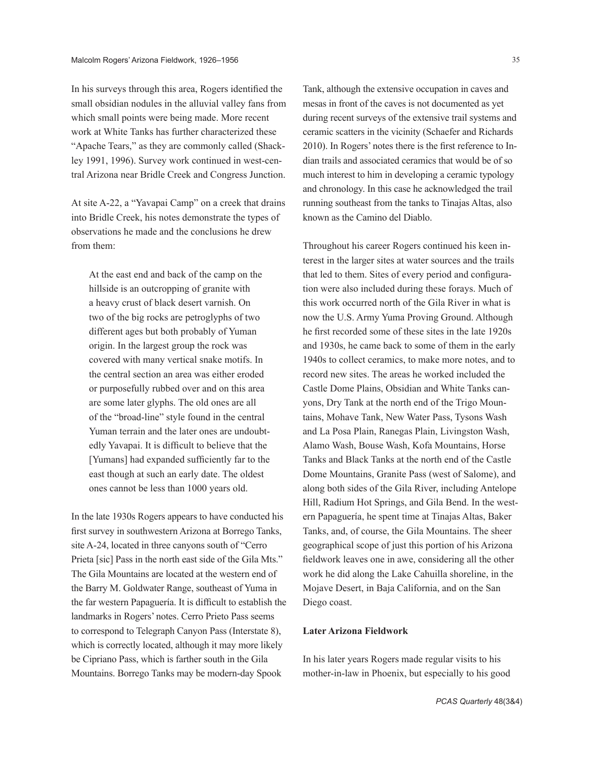In his surveys through this area, Rogers identified the small obsidian nodules in the alluvial valley fans from which small points were being made. More recent work at White Tanks has further characterized these "Apache Tears," as they are commonly called (Shackley 1991, 1996). Survey work continued in west-central Arizona near Bridle Creek and Congress Junction.

At site A-22, a "Yavapai Camp" on a creek that drains into Bridle Creek, his notes demonstrate the types of observations he made and the conclusions he drew from them:

At the east end and back of the camp on the hillside is an outcropping of granite with a heavy crust of black desert varnish. On two of the big rocks are petroglyphs of two different ages but both probably of Yuman origin. In the largest group the rock was covered with many vertical snake motifs. In the central section an area was either eroded or purposefully rubbed over and on this area are some later glyphs. The old ones are all of the "broad-line" style found in the central Yuman terrain and the later ones are undoubtedly Yavapai. It is difficult to believe that the [Yumans] had expanded sufficiently far to the east though at such an early date. The oldest ones cannot be less than 1000 years old.

In the late 1930s Rogers appears to have conducted his first survey in southwestern Arizona at Borrego Tanks, site A-24, located in three canyons south of "Cerro Prieta [sic] Pass in the north east side of the Gila Mts." The Gila Mountains are located at the western end of the Barry M. Goldwater Range, southeast of Yuma in the far western Papaguería. It is difficult to establish the landmarks in Rogers' notes. Cerro Prieto Pass seems to correspond to Telegraph Canyon Pass (Interstate 8), which is correctly located, although it may more likely be Cipriano Pass, which is farther south in the Gila Mountains. Borrego Tanks may be modern-day Spook

Tank, although the extensive occupation in caves and mesas in front of the caves is not documented as yet during recent surveys of the extensive trail systems and ceramic scatters in the vicinity (Schaefer and Richards 2010). In Rogers' notes there is the first reference to Indian trails and associated ceramics that would be of so much interest to him in developing a ceramic typology and chronology. In this case he acknowledged the trail running southeast from the tanks to Tinajas Altas, also known as the Camino del Diablo.

Throughout his career Rogers continued his keen interest in the larger sites at water sources and the trails that led to them. Sites of every period and configuration were also included during these forays. Much of this work occurred north of the Gila River in what is now the U.S. Army Yuma Proving Ground. Although he first recorded some of these sites in the late 1920s and 1930s, he came back to some of them in the early 1940s to collect ceramics, to make more notes, and to record new sites. The areas he worked included the Castle Dome Plains, Obsidian and White Tanks canyons, Dry Tank at the north end of the Trigo Mountains, Mohave Tank, New Water Pass, Tysons Wash and La Posa Plain, Ranegas Plain, Livingston Wash, Alamo Wash, Bouse Wash, Kofa Mountains, Horse Tanks and Black Tanks at the north end of the Castle Dome Mountains, Granite Pass (west of Salome), and along both sides of the Gila River, including Antelope Hill, Radium Hot Springs, and Gila Bend. In the western Papaguería, he spent time at Tinajas Altas, Baker Tanks, and, of course, the Gila Mountains. The sheer geographical scope of just this portion of his Arizona fieldwork leaves one in awe, considering all the other work he did along the Lake Cahuilla shoreline, in the Mojave Desert, in Baja California, and on the San Diego coast.

# **Later Arizona Fieldwork**

In his later years Rogers made regular visits to his mother-in-law in Phoenix, but especially to his good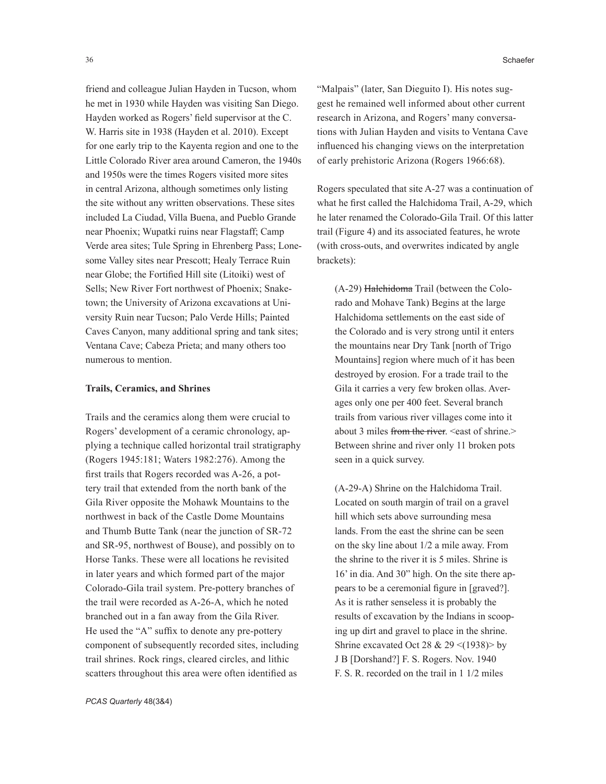friend and colleague Julian Hayden in Tucson, whom he met in 1930 while Hayden was visiting San Diego. Hayden worked as Rogers' field supervisor at the C. W. Harris site in 1938 (Hayden et al. 2010). Except for one early trip to the Kayenta region and one to the Little Colorado River area around Cameron, the 1940s and 1950s were the times Rogers visited more sites in central Arizona, although sometimes only listing the site without any written observations. These sites included La Ciudad, Villa Buena, and Pueblo Grande near Phoenix; Wupatki ruins near Flagstaff; Camp Verde area sites; Tule Spring in Ehrenberg Pass; Lonesome Valley sites near Prescott; Healy Terrace Ruin near Globe; the Fortified Hill site (Litoiki) west of Sells; New River Fort northwest of Phoenix; Snaketown; the University of Arizona excavations at University Ruin near Tucson; Palo Verde Hills; Painted Caves Canyon, many additional spring and tank sites; Ventana Cave; Cabeza Prieta; and many others too numerous to mention.

## **Trails, Ceramics, and Shrines**

Trails and the ceramics along them were crucial to Rogers' development of a ceramic chronology, applying a technique called horizontal trail stratigraphy (Rogers 1945:181; Waters 1982:276). Among the first trails that Rogers recorded was A-26, a pottery trail that extended from the north bank of the Gila River opposite the Mohawk Mountains to the northwest in back of the Castle Dome Mountains and Thumb Butte Tank (near the junction of SR-72 and SR-95, northwest of Bouse), and possibly on to Horse Tanks. These were all locations he revisited in later years and which formed part of the major Colorado-Gila trail system. Pre-pottery branches of the trail were recorded as A-26-A, which he noted branched out in a fan away from the Gila River. He used the "A" suffix to denote any pre-pottery component of subsequently recorded sites, including trail shrines. Rock rings, cleared circles, and lithic scatters throughout this area were often identified as

"Malpais" (later, San Dieguito I). His notes suggest he remained well informed about other current research in Arizona, and Rogers' many conversations with Julian Hayden and visits to Ventana Cave influenced his changing views on the interpretation of early prehistoric Arizona (Rogers 1966:68).

Rogers speculated that site A-27 was a continuation of what he first called the Halchidoma Trail, A-29, which he later renamed the Colorado-Gila Trail. Of this latter trail (Figure 4) and its associated features, he wrote (with cross-outs, and overwrites indicated by angle brackets):

(A-29) Halchidoma Trail (between the Colorado and Mohave Tank) Begins at the large Halchidoma settlements on the east side of the Colorado and is very strong until it enters the mountains near Dry Tank [north of Trigo Mountains] region where much of it has been destroyed by erosion. For a trade trail to the Gila it carries a very few broken ollas. Averages only one per 400 feet. Several branch trails from various river villages come into it about 3 miles from the river. <east of shrine.> Between shrine and river only 11 broken pots seen in a quick survey.

(A-29-A) Shrine on the Halchidoma Trail. Located on south margin of trail on a gravel hill which sets above surrounding mesa lands. From the east the shrine can be seen on the sky line about 1/2 a mile away. From the shrine to the river it is 5 miles. Shrine is 16' in dia. And 30" high. On the site there appears to be a ceremonial figure in [graved?]. As it is rather senseless it is probably the results of excavation by the Indians in scooping up dirt and gravel to place in the shrine. Shrine excavated Oct 28 & 29 <(1938)> by J B [Dorshand?] F. S. Rogers. Nov. 1940 F. S. R. recorded on the trail in 1 1/2 miles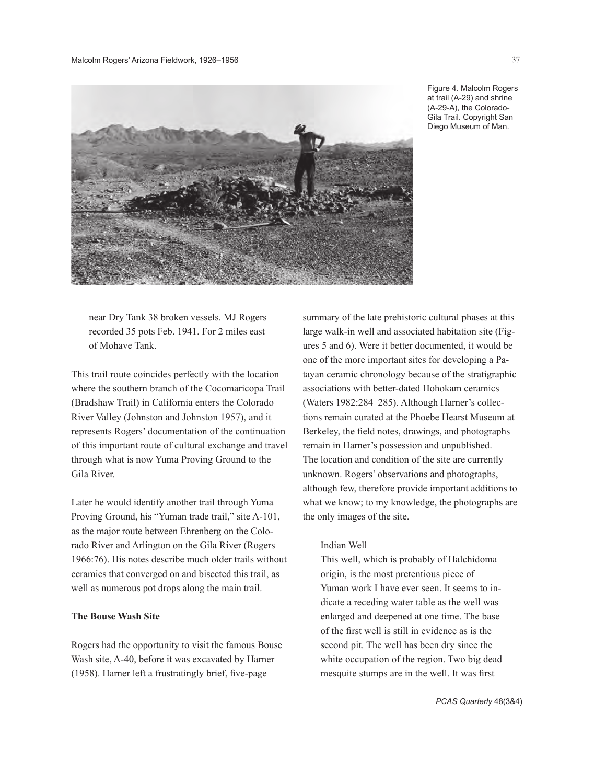

Figure 4. Malcolm Rogers at trail (A-29) and shrine (A-29-A), the Colorado-Gila Trail. Copyright San Diego Museum of Man.

near Dry Tank 38 broken vessels. MJ Rogers recorded 35 pots Feb. 1941. For 2 miles east of Mohave Tank.

This trail route coincides perfectly with the location where the southern branch of the Cocomaricopa Trail (Bradshaw Trail) in California enters the Colorado River Valley (Johnston and Johnston 1957), and it represents Rogers' documentation of the continuation of this important route of cultural exchange and travel through what is now Yuma Proving Ground to the Gila River.

Later he would identify another trail through Yuma Proving Ground, his "Yuman trade trail," site A-101, as the major route between Ehrenberg on the Colorado River and Arlington on the Gila River (Rogers 1966:76). His notes describe much older trails without ceramics that converged on and bisected this trail, as well as numerous pot drops along the main trail.

#### **The Bouse Wash Site**

Rogers had the opportunity to visit the famous Bouse Wash site, A-40, before it was excavated by Harner (1958). Harner left a frustratingly brief, five-page

summary of the late prehistoric cultural phases at this large walk-in well and associated habitation site (Figures 5 and 6). Were it better documented, it would be one of the more important sites for developing a Patayan ceramic chronology because of the stratigraphic associations with better-dated Hohokam ceramics (Waters 1982:284–285). Although Harner's collections remain curated at the Phoebe Hearst Museum at Berkeley, the field notes, drawings, and photographs remain in Harner's possession and unpublished. The location and condition of the site are currently unknown. Rogers' observations and photographs, although few, therefore provide important additions to what we know; to my knowledge, the photographs are the only images of the site.

### Indian Well

This well, which is probably of Halchidoma origin, is the most pretentious piece of Yuman work I have ever seen. It seems to indicate a receding water table as the well was enlarged and deepened at one time. The base of the first well is still in evidence as is the second pit. The well has been dry since the white occupation of the region. Two big dead mesquite stumps are in the well. It was first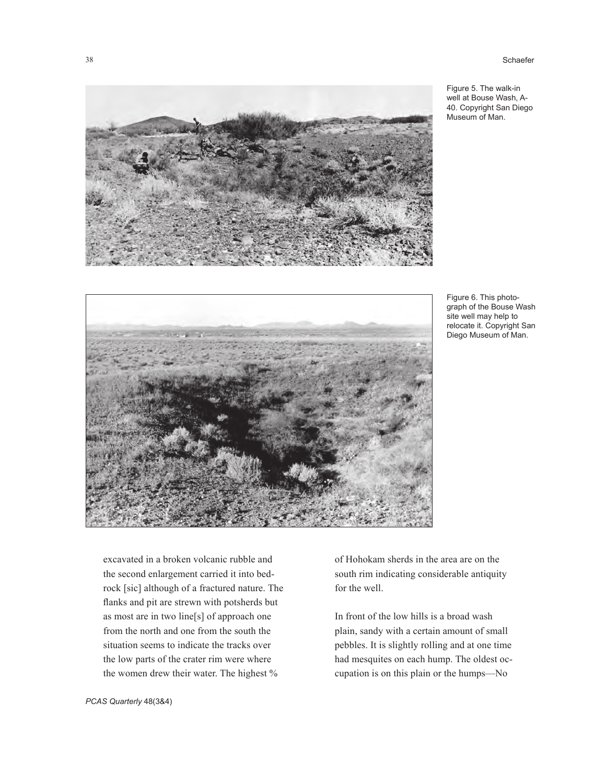Figure 5. The walk-in well at Bouse Wash, A-40. Copyright San Diego Museum of Man.



Figure 6. This photograph of the Bouse Wash site well may help to relocate it. Copyright San Diego Museum of Man.

excavated in a broken volcanic rubble and the second enlargement carried it into bedrock [sic] although of a fractured nature. The flanks and pit are strewn with potsherds but as most are in two line[s] of approach one from the north and one from the south the situation seems to indicate the tracks over the low parts of the crater rim were where the women drew their water. The highest %

of Hohokam sherds in the area are on the south rim indicating considerable antiquity for the well.

In front of the low hills is a broad wash plain, sandy with a certain amount of small pebbles. It is slightly rolling and at one time had mesquites on each hump. The oldest occupation is on this plain or the humps—No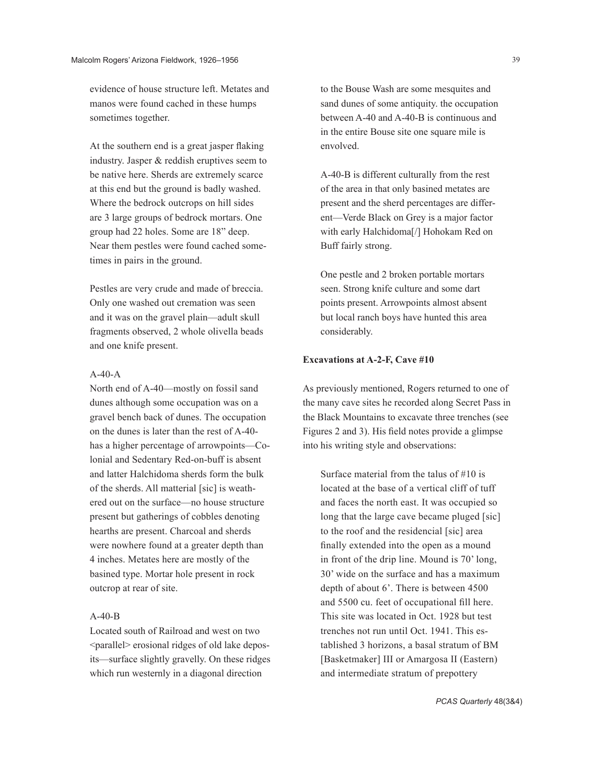evidence of house structure left. Metates and manos were found cached in these humps sometimes together.

At the southern end is a great jasper flaking industry. Jasper & reddish eruptives seem to be native here. Sherds are extremely scarce at this end but the ground is badly washed. Where the bedrock outcrops on hill sides are 3 large groups of bedrock mortars. One group had 22 holes. Some are 18" deep. Near them pestles were found cached sometimes in pairs in the ground.

Pestles are very crude and made of breccia. Only one washed out cremation was seen and it was on the gravel plain—adult skull fragments observed, 2 whole olivella beads and one knife present.

#### $A-40-A$

North end of A-40—mostly on fossil sand dunes although some occupation was on a gravel bench back of dunes. The occupation on the dunes is later than the rest of A-40 has a higher percentage of arrowpoints—Colonial and Sedentary Red-on-buff is absent and latter Halchidoma sherds form the bulk of the sherds. All matterial [sic] is weathered out on the surface—no house structure present but gatherings of cobbles denoting hearths are present. Charcoal and sherds were nowhere found at a greater depth than 4 inches. Metates here are mostly of the basined type. Mortar hole present in rock outcrop at rear of site.

#### A-40-B

Located south of Railroad and west on two <parallel> erosional ridges of old lake deposits—surface slightly gravelly. On these ridges which run westernly in a diagonal direction

to the Bouse Wash are some mesquites and sand dunes of some antiquity. the occupation between A-40 and A-40-B is continuous and in the entire Bouse site one square mile is envolved.

A-40-B is different culturally from the rest of the area in that only basined metates are present and the sherd percentages are different—Verde Black on Grey is a major factor with early Halchidoma[/] Hohokam Red on Buff fairly strong.

One pestle and 2 broken portable mortars seen. Strong knife culture and some dart points present. Arrowpoints almost absent but local ranch boys have hunted this area considerably.

# **Excavations at A-2-F, Cave #10**

As previously mentioned, Rogers returned to one of the many cave sites he recorded along Secret Pass in the Black Mountains to excavate three trenches (see Figures 2 and 3). His field notes provide a glimpse into his writing style and observations:

Surface material from the talus of #10 is located at the base of a vertical cliff of tuff and faces the north east. It was occupied so long that the large cave became pluged [sic] to the roof and the residencial [sic] area finally extended into the open as a mound in front of the drip line. Mound is 70' long, 30' wide on the surface and has a maximum depth of about 6'. There is between 4500 and 5500 cu. feet of occupational fill here. This site was located in Oct. 1928 but test trenches not run until Oct. 1941. This established 3 horizons, a basal stratum of BM [Basketmaker] III or Amargosa II (Eastern) and intermediate stratum of prepottery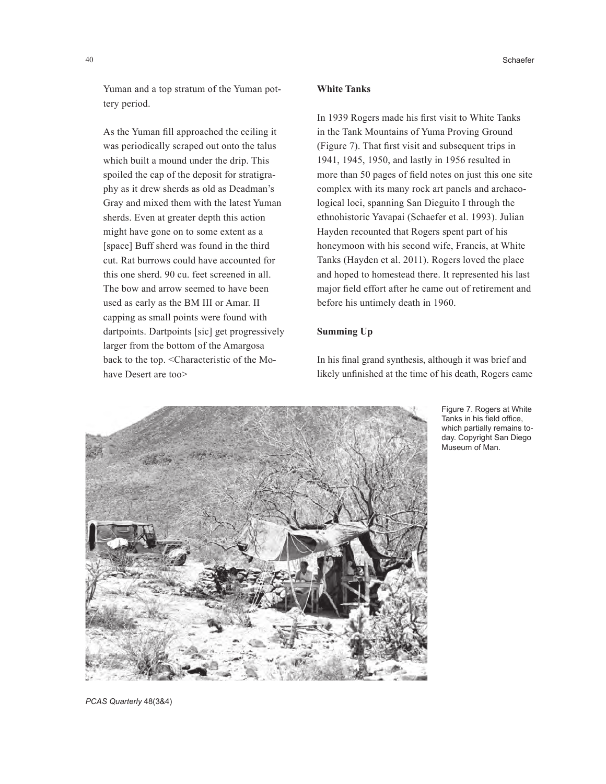Yuman and a top stratum of the Yuman pottery period.

As the Yuman fill approached the ceiling it was periodically scraped out onto the talus which built a mound under the drip. This spoiled the cap of the deposit for stratigraphy as it drew sherds as old as Deadman's Gray and mixed them with the latest Yuman sherds. Even at greater depth this action might have gone on to some extent as a [space] Buff sherd was found in the third cut. Rat burrows could have accounted for this one sherd. 90 cu. feet screened in all. The bow and arrow seemed to have been used as early as the BM III or Amar. II capping as small points were found with dartpoints. Dartpoints [sic] get progressively larger from the bottom of the Amargosa back to the top. <Characteristic of the Mohave Desert are too>

#### **White Tanks**

In 1939 Rogers made his first visit to White Tanks in the Tank Mountains of Yuma Proving Ground (Figure 7). That first visit and subsequent trips in 1941, 1945, 1950, and lastly in 1956 resulted in more than 50 pages of field notes on just this one site complex with its many rock art panels and archaeological loci, spanning San Dieguito I through the ethnohistoric Yavapai (Schaefer et al. 1993). Julian Hayden recounted that Rogers spent part of his honeymoon with his second wife, Francis, at White Tanks (Hayden et al. 2011). Rogers loved the place and hoped to homestead there. It represented his last major field effort after he came out of retirement and before his untimely death in 1960.

# **Summing Up**

In his final grand synthesis, although it was brief and likely unfinished at the time of his death, Rogers came



Figure 7. Rogers at White Tanks in his field office, which partially remains today. Copyright San Diego Museum of Man.

*PCAS Quarterly* 48(3&4)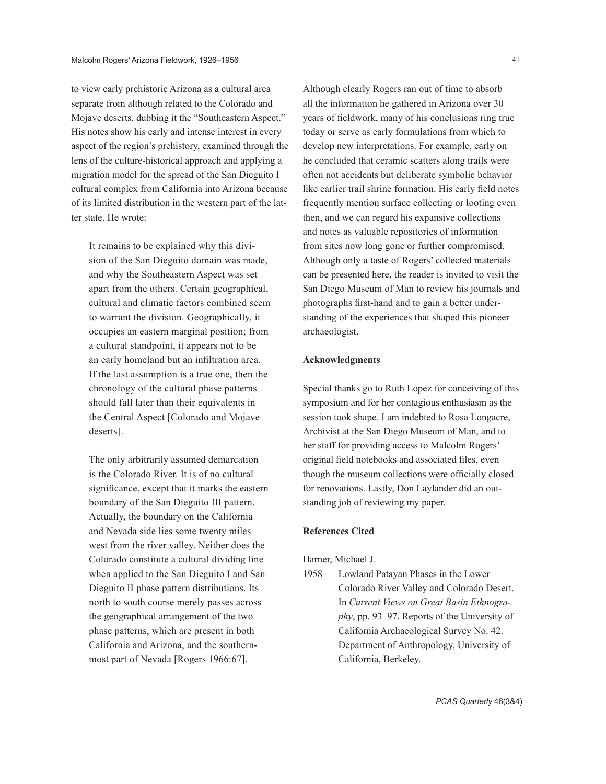to view early prehistoric Arizona as a cultural area separate from although related to the Colorado and Mojave deserts, dubbing it the "Southeastern Aspect." His notes show his early and intense interest in every aspect of the region's prehistory, examined through the lens of the culture-historical approach and applying a migration model for the spread of the San Dieguito I cultural complex from California into Arizona because of its limited distribution in the western part of the latter state. He wrote:

It remains to be explained why this division of the San Dieguito domain was made, and why the Southeastern Aspect was set apart from the others. Certain geographical, cultural and climatic factors combined seem to warrant the division. Geographically, it occupies an eastern marginal position; from a cultural standpoint, it appears not to be an early homeland but an infiltration area. If the last assumption is a true one, then the chronology of the cultural phase patterns should fall later than their equivalents in the Central Aspect [Colorado and Mojave deserts].

The only arbitrarily assumed demarcation is the Colorado River. It is of no cultural significance, except that it marks the eastern boundary of the San Dieguito III pattern. Actually, the boundary on the California and Nevada side lies some twenty miles west from the river valley. Neither does the Colorado constitute a cultural dividing line when applied to the San Dieguito I and San Dieguito II phase pattern distributions. Its north to south course merely passes across the geographical arrangement of the two phase patterns, which are present in both California and Arizona, and the southernmost part of Nevada [Rogers 1966:67].

Although clearly Rogers ran out of time to absorb all the information he gathered in Arizona over 30 years of fieldwork, many of his conclusions ring true today or serve as early formulations from which to develop new interpretations. For example, early on he concluded that ceramic scatters along trails were often not accidents but deliberate symbolic behavior like earlier trail shrine formation. His early field notes frequently mention surface collecting or looting even then, and we can regard his expansive collections and notes as valuable repositories of information from sites now long gone or further compromised. Although only a taste of Rogers' collected materials can be presented here, the reader is invited to visit the San Diego Museum of Man to review his journals and photographs first-hand and to gain a better understanding of the experiences that shaped this pioneer archaeologist.

## **Acknowledgments**

Special thanks go to Ruth Lopez for conceiving of this symposium and for her contagious enthusiasm as the session took shape. I am indebted to Rosa Longacre, Archivist at the San Diego Museum of Man, and to her staff for providing access to Malcolm Rogers' original field notebooks and associated files, even though the museum collections were officially closed for renovations. Lastly, Don Laylander did an outstanding job of reviewing my paper.

#### **References Cited**

Harner, Michael J.

1958 Lowland Patayan Phases in the Lower Colorado River Valley and Colorado Desert. In *Current Views on Great Basin Ethnography*, pp. 93–97. Reports of the University of California Archaeological Survey No. 42. Department of Anthropology, University of California, Berkeley.